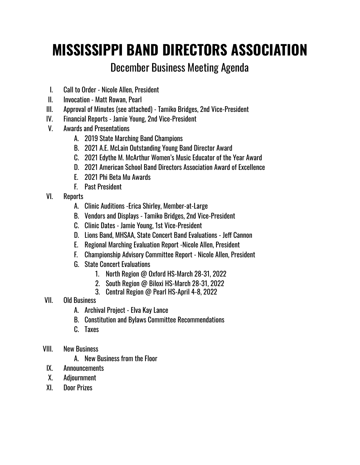# **MISSISSIPPI BAND DIRECTORS ASSOCIATION**

# December Business Meeting Agenda

- I. Call to Order Nicole Allen, President
- II. Invocation Matt Rowan, Pearl
- III. Approval of Minutes (see attached) Tamiko Bridges, 2nd Vice-President
- IV. Financial Reports Jamie Young, 2nd Vice-President
- V. Awards and Presentations
	- A. 2019 State Marching Band Champions
	- B. 2021 A.E. McLain Outstanding Young Band Director Award
	- C. 2021 Edythe M. McArthur Women's Music Educator of the Year Award
	- D. 2021 American School Band Directors Association Award of Excellence
	- E. 2021 Phi Beta Mu Awards
	- F. Past President
- VI. Reports
	- A. Clinic Auditions -Erica Shirley, Member-at-Large
	- B. Vendors and Displays Tamiko Bridges, 2nd Vice-President
	- C. Clinic Dates Jamie Young, 1st Vice-President
	- D. Lions Band, MHSAA, State Concert Band Evaluations Jeff Cannon
	- E. Regional Marching Evaluation Report -Nicole Allen, President
	- F. Championship Advisory Committee Report Nicole Allen, President
	- G. State Concert Evaluations
		- 1. North Region @ Oxford HS-March 28-31, 2022
		- 2. South Region @ Biloxi HS-March 28-31, 2022
		- 3. Central Region @ Pearl HS-April 4-8, 2022
- VII. Old Business
	- A. Archival Project Elva Kay Lance
	- B. Constitution and Bylaws Committee Recommendations
	- C. Taxes
- VIII. New Business
	- A. New Business from the Floor
- IX. Announcements
- X. Adjournment
- XI. Door Prizes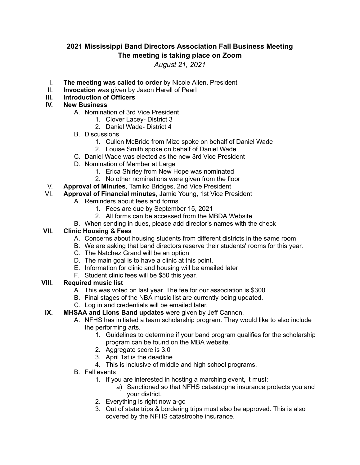# **2021 Mississippi Band Directors Association Fall Business Meeting The meeting is taking place on Zoom**

*August 21, 2021*

- I. **The meeting was called to order** by Nicole Allen, President
- II. **Invocation** was given by Jason Harell of Pearl
- **III. Introduction of Officers**

### **IV. New Business**

- A. Nomination of 3rd Vice President
	- 1. Clover Lacey- District 3
	- 2. Daniel Wade- District 4
- B. Discussions
	- 1. Cullen McBride from Mize spoke on behalf of Daniel Wade
	- 2. Louise Smith spoke on behalf of Daniel Wade
- C. Daniel Wade was elected as the new 3rd Vice President
- D. Nomination of Member at Large
	- 1. Erica Shirley from New Hope was nominated
	- 2. No other nominations were given from the floor
- V. **Approval of Minutes**, Tamiko Bridges, 2nd Vice President
	- VI. **Approval of Financial minutes**, Jamie Young, 1st Vice President
		- A. Reminders about fees and forms
			- 1. Fees are due by September 15, 2021
			- 2. All forms can be accessed from the MBDA Website
		- B. When sending in dues, please add director's names with the check

#### **VII. Clinic Housing & Fees**

- A. Concerns about housing students from different districts in the same room
- B. We are asking that band directors reserve their students' rooms for this year.
- C. The Natchez Grand will be an option
- D. The main goal is to have a clinic at this point.
- E. Information for clinic and housing will be emailed later
- F. Student clinic fees will be \$50 this year.

#### **VIII. Required music list**

- A. This was voted on last year. The fee for our association is \$300
- B. Final stages of the NBA music list are currently being updated.
- C. Log in and credentials will be emailed later.

#### **IX. MHSAA and Lions Band updates** were given by Jeff Cannon.

- A. NFHS has initiated a team scholarship program. They would like to also include the performing arts.
	- 1. Guidelines to determine if your band program qualifies for the scholarship program can be found on the MBA website.
	- 2. Aggregate score is 3.0
	- 3. April 1st is the deadline
	- 4. This is inclusive of middle and high school programs.
- B. Fall events
	- 1. If you are interested in hosting a marching event, it must:
		- a) Sanctioned so that NFHS catastrophe insurance protects you and your district.
	- 2. Everything is right now a-go
	- 3. Out of state trips & bordering trips must also be approved. This is also covered by the NFHS catastrophe insurance.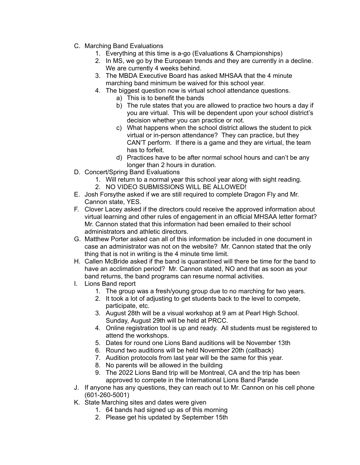- C. Marching Band Evaluations
	- 1. Everything at this time is a-go (Evaluations & Championships)
	- 2. In MS, we go by the European trends and they are currently in a decline. We are currently 4 weeks behind.
	- 3. The MBDA Executive Board has asked MHSAA that the 4 minute marching band minimum be waived for this school year.
	- 4. The biggest question now is virtual school attendance questions.
		- a) This is to benefit the bands
		- b) The rule states that you are allowed to practice two hours a day if you are virtual. This will be dependent upon your school district's decision whether you can practice or not.
		- c) What happens when the school district allows the student to pick virtual or in-person attendance? They can practice, but they CAN'T perform. If there is a game and they are virtual, the team has to forfeit.
		- d) Practices have to be after normal school hours and can't be any longer than 2 hours in duration.
- D. Concert/Spring Band Evaluations
	- 1. Will return to a normal year this school year along with sight reading.
	- 2. NO VIDEO SUBMISSIONS WILL BE ALLOWED!
- E. Josh Forsythe asked if we are still required to complete Dragon Fly and Mr. Cannon state, YES.
- F. Clover Lacey asked if the directors could receive the approved information about virtual learning and other rules of engagement in an official MHSAA letter format? Mr. Cannon stated that this information had been emailed to their school administrators and athletic directors.
- G. Matthew Porter asked can all of this information be included in one document in case an administrator was not on the website? Mr. Cannon stated that the only thing that is not in writing is the 4 minute time limit.
- H. Callen McBride asked if the band is quarantined will there be time for the band to have an acclimation period? Mr. Cannon stated, NO and that as soon as your band returns, the band programs can resume normal activities.
- I. Lions Band report
	- 1. The group was a fresh/young group due to no marching for two years.
	- 2. It took a lot of adjusting to get students back to the level to compete, participate, etc.
	- 3. August 28th will be a visual workshop at 9 am at Pearl High School. Sunday, August 29th will be held at PRCC.
	- 4. Online registration tool is up and ready. All students must be registered to attend the workshops.
	- 5. Dates for round one Lions Band auditions will be November 13th
	- 6. Round two auditions will be held November 20th (callback)
	- 7. Audition protocols from last year will be the same for this year.
	- 8. No parents will be allowed in the building
	- 9. The 2022 Lions Band trip will be Montreal, CA and the trip has been approved to compete in the International Lions Band Parade
- J. If anyone has any questions, they can reach out to Mr. Cannon on his cell phone (601-260-5001)
- K. State Marching sites and dates were given
	- 1. 64 bands had signed up as of this morning
	- 2. Please get his updated by September 15th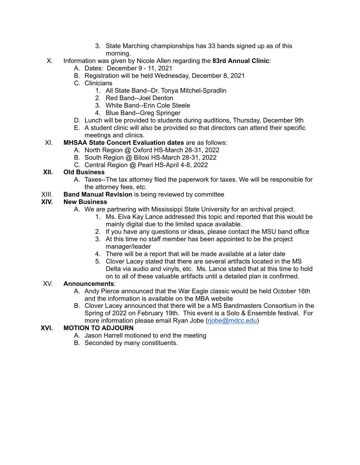- 3. State Marching championships has 33 bands signed up as of this morning.
- X. Information was given by Nicole Allen regarding the **83rd Annual Clinic**:
	- A. Dates: December 9 11, 2021
	- B. Registration will be held Wednesday, December 8, 2021
	- C. Clinicians
		- 1. All State Band--Dr. Tonya Mitchel-Spradlin
		- 2. Red Band--Joel Denton
		- 3. White Band--Erin Cole Steele
		- 4. Blue Band--Greg Springer
	- D. Lunch will be provided to students during auditions, Thursday, December 9th
	- E. A student clinic will also be provided so that directors can attend their specific meetings and clinics.

# XI. **MHSAA State Concert Evaluation dates** are as follows:

- A. North Region @ Oxford HS-March 28-31, 2022
- B. South Region @ Biloxi HS-March 28-31, 2022
- C. Central Region @ Pearl HS-April 4-8, 2022

# **XII. Old Business**

- A. Taxes--The tax attorney filed the paperwork for taxes. We will be responsible for the attorney fees, etc.
- XIII. **Band Manual Revision** is being reviewed by committee

# **XIV. New Business**

- A. We are partnering with Mississippi State University for an archival project.
	- 1. Ms. Elva Kay Lance addressed this topic and reported that this would be mainly digital due to the limited space available.
	- 2. If you have any questions or ideas, please contact the MSU band office
	- 3. At this time no staff member has been appointed to be the project manager/leader
	- 4. There will be a report that will be made available at a later date
	- 5. Clover Lacey stated that there are several artifacts located in the MS Delta via audio and vinyls, etc. Ms. Lance stated that at this time to hold on to all of these valuable artifacts until a detailed plan is confirmed.

# XV. **Announcements**:

- A. Andy Pierce announced that the War Eagle classic would be held October 16th and the information is available on the MBA website
- B. Clover Lacey announced that there will be a MS Bandmasters Consortium in the Spring of 2022 on February 19th. This event is a Solo & Ensemble festival. For more information please email Ryan Jobe [\(rjobe@mdcc.edu\)](mailto:rjobe@mdcc.edu)

# **XVI. MOTION TO ADJOURN**

- A. Jason Harrell motioned to end the meeting
- B. Seconded by many constituents.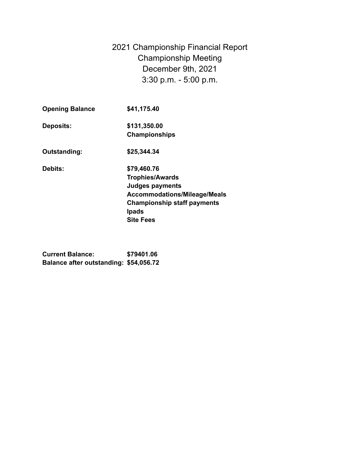2021 Championship Financial Report Championship Meeting December 9th, 2021 3:30 p.m. - 5:00 p.m.

| <b>Opening Balance</b> | \$41,175.40                                                                                                                                                                      |
|------------------------|----------------------------------------------------------------------------------------------------------------------------------------------------------------------------------|
| <b>Deposits:</b>       | \$131,350.00<br><b>Championships</b>                                                                                                                                             |
| Outstanding:           | \$25,344.34                                                                                                                                                                      |
| <b>Debits:</b>         | \$79,460.76<br><b>Trophies/Awards</b><br><b>Judges payments</b><br><b>Accommodations/Mileage/Meals</b><br><b>Championship staff payments</b><br><b>Ipads</b><br><b>Site Fees</b> |

**Current Balance: \$79401.06 Balance after outstanding: \$54,056.72**